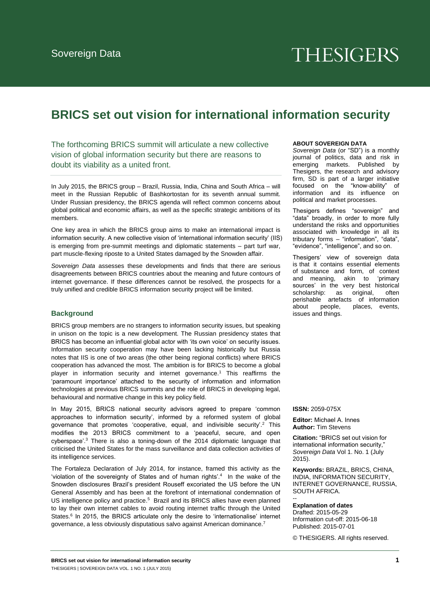# **THESIGERS**

# **BRICS set out vision for international information security**

The forthcoming BRICS summit will articulate a new collective vision of global information security but there are reasons to doubt its viability as a united front.

In July 2015, the BRICS group – Brazil, Russia, India, China and South Africa – will meet in the Russian Republic of Bashkortostan for its seventh annual summit. Under Russian presidency, the BRICS agenda will reflect common concerns about global political and economic affairs, as well as the specific strategic ambitions of its members.

One key area in which the BRICS group aims to make an international impact is information security. A new collective vision of 'international information security' (IIS) is emerging from pre-summit meetings and diplomatic statements – part turf war, part muscle-flexing riposte to a United States damaged by the Snowden affair.

*Sovereign Data* assesses these developments and finds that there are serious disagreements between BRICS countries about the meaning and future contours of internet governance. If these differences cannot be resolved, the prospects for a truly unified and credible BRICS information security project will be limited.

# **Background**

BRICS group members are no strangers to information security issues, but speaking in unison on the topic is a new development. The Russian presidency states that BRICS has become an influential global actor with 'its own voice' on security issues. Information security cooperation may have been lacking historically but Russia notes that IIS is one of two areas (the other being regional conflicts) where BRICS cooperation has advanced the most. The ambition is for BRICS to become a global player in information security and internet governance.<sup>1</sup> This reaffirms the 'paramount importance' attached to the security of information and information technologies at previous BRICS summits and the role of BRICS in developing legal, behavioural and normative change in this key policy field.

In May 2015, BRICS national security advisors agreed to prepare 'common approaches to information security', informed by a reformed system of global governance that promotes 'cooperative, equal, and indivisible security'.<sup>2</sup> This modifies the 2013 BRICS commitment to a 'peaceful, secure, and open cyberspace'.<sup>3</sup> There is also a toning-down of the 2014 diplomatic language that criticised the United States for the mass surveillance and data collection activities of its intelligence services.

The Fortaleza Declaration of July 2014, for instance, framed this activity as the 'violation of the sovereignty of States and of human rights'.<sup>4</sup> In the wake of the Snowden disclosures Brazil's president Rouseff excoriated the US before the UN General Assembly and has been at the forefront of international condemnation of US intelligence policy and practice.<sup>5</sup> Brazil and its BRICS allies have even planned to lay their own internet cables to avoid routing internet traffic through the United States.<sup>6</sup> In 2015, the BRICS articulate only the desire to 'internationalise' internet governance, a less obviously disputatious salvo against American dominance.<sup>7</sup>

#### **ABOUT SOVEREIGN DATA**

*Sovereign Data* (or "SD") is a monthly journal of politics, data and risk in emerging markets. Published by Thesigers, the research and advisory firm, SD is part of a larger initiative focused on the "know-ability" of information and its influence on political and market processes.

Thesigers defines "sovereign" and "data" broadly, in order to more fully understand the risks and opportunities associated with knowledge in all its tributary forms – "information", "data", "evidence", "intelligence", and so on.

Thesigers' view of sovereign data is that it contains essential elements of substance and form, of context and meaning, akin to 'primary sources' in the very best historical<br>scholarship: as original, often scholarship: as original, perishable artefacts of information about people, places, events, issues and things.

**ISSN:** 2059-075X

**Editor:** Michael A. Innes **Author:** Tim Stevens

**Citation:** "BRICS set out vision for international information security, *Sovereign Data* Vol 1. No. 1 (July 2015).

**Keywords:** BRAZIL, BRICS, CHINA, INDIA, INFORMATION SECURITY, INTERNET GOVERNANCE, RUSSIA, SOUTH AFRICA.

#### -- **Explanation of dates**

Drafted: 2015-05-29 Information cut-off: 2015-06-18 Published: 2015-07-01

© THESIGERS. All rights reserved.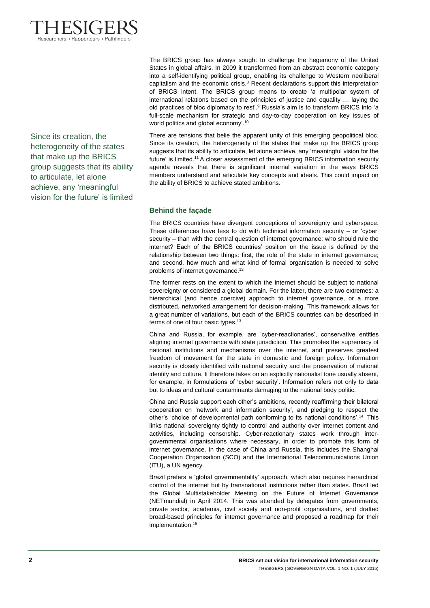

Since its creation, the heterogeneity of the states that make up the BRICS group suggests that its ability to articulate, let alone achieve, any 'meaningful vision for the future' is limited

The BRICS group has always sought to challenge the hegemony of the United States in global affairs. In 2009 it transformed from an abstract economic category into a self-identifying political group, enabling its challenge to Western neoliberal capitalism and the economic crisis.<sup>8</sup> Recent declarations support this interpretation of BRICS intent. The BRICS group means to create 'a multipolar system of international relations based on the principles of justice and equality … laying the old practices of bloc diplomacy to rest'.<sup>9</sup> Russia's aim is to transform BRICS into 'a full-scale mechanism for strategic and day-to-day cooperation on key issues of world politics and global economy'.<sup>10</sup>

There are tensions that belie the apparent unity of this emerging geopolitical bloc. Since its creation, the heterogeneity of the states that make up the BRICS group suggests that its ability to articulate, let alone achieve, any 'meaningful vision for the future' is limited.<sup>11</sup>A closer assessment of the emerging BRICS information security agenda reveals that there is significant internal variation in the ways BRICS members understand and articulate key concepts and ideals. This could impact on the ability of BRICS to achieve stated ambitions.

## **Behind the façade**

The BRICS countries have divergent conceptions of sovereignty and cyberspace. These differences have less to do with technical information security  $-$  or 'cyber' security – than with the central question of internet governance: who should rule the internet? Each of the BRICS countries' position on the issue is defined by the relationship between two things: first, the role of the state in internet governance; and second, how much and what kind of formal organisation is needed to solve problems of internet governance.<sup>12</sup>

The former rests on the extent to which the internet should be subject to national sovereignty or considered a global domain. For the latter, there are two extremes: a hierarchical (and hence coercive) approach to internet governance, or a more distributed, networked arrangement for decision-making. This framework allows for a great number of variations, but each of the BRICS countries can be described in terms of one of four basic types.<sup>13</sup>

China and Russia, for example, are 'cyber-reactionaries', conservative entities aligning internet governance with state jurisdiction. This promotes the supremacy of national institutions and mechanisms over the internet, and preserves greatest freedom of movement for the state in domestic and foreign policy. Information security is closely identified with national security and the preservation of national identity and culture. It therefore takes on an explicitly nationalist tone usually absent, for example, in formulations of 'cyber security'. Information refers not only to data but to ideas and cultural contaminants damaging to the national body politic.

China and Russia support each other's ambitions, recently reaffirming their bilateral cooperation on 'network and information security', and pledging to respect the other's 'choice of developmental path conforming to its national conditions'.<sup>14</sup> This links national sovereignty tightly to control and authority over internet content and activities, including censorship. Cyber-reactionary states work through intergovernmental organisations where necessary, in order to promote this form of internet governance. In the case of China and Russia, this includes the Shanghai Cooperation Organisation (SCO) and the International Telecommunications Union (ITU), a UN agency.

Brazil prefers a 'global governmentality' approach, which also requires hierarchical control of the internet but by transnational institutions rather than states. Brazil led the Global Multistakeholder Meeting on the Future of Internet Governance (NETmundial) in April 2014. This was attended by delegates from governments, private sector, academia, civil society and non-profit organisations, and drafted broad-based principles for internet governance and proposed a roadmap for their implementation.<sup>15</sup>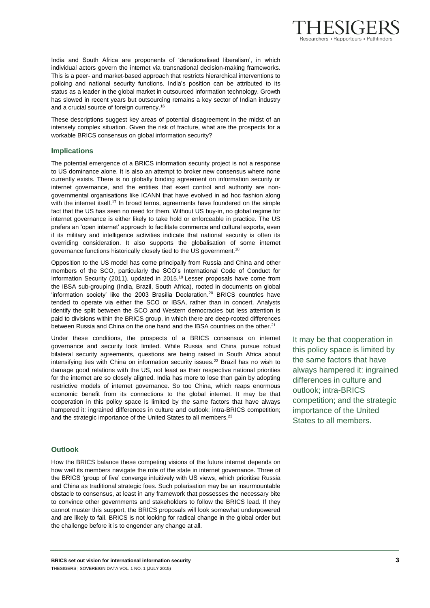India and South Africa are proponents of 'denationalised liberalism', in which individual actors govern the internet via transnational decision-making frameworks. This is a peer- and market-based approach that restricts hierarchical interventions to policing and national security functions. India's position can be attributed to its status as a leader in the global market in outsourced information technology. Growth has slowed in recent years but outsourcing remains a key sector of Indian industry and a crucial source of foreign currency.<sup>16</sup>

These descriptions suggest key areas of potential disagreement in the midst of an intensely complex situation. Given the risk of fracture, what are the prospects for a workable BRICS consensus on global information security?

#### **Implications**

The potential emergence of a BRICS information security project is not a response to US dominance alone. It is also an attempt to broker new consensus where none currently exists. There is no globally binding agreement on information security or internet governance, and the entities that exert control and authority are nongovernmental organisations like ICANN that have evolved in ad hoc fashion along with the internet itself.<sup>17</sup> In broad terms, agreements have foundered on the simple fact that the US has seen no need for them. Without US buy-in, no global regime for internet governance is either likely to take hold or enforceable in practice. The US prefers an 'open internet' approach to facilitate commerce and cultural exports, even if its military and intelligence activities indicate that national security is often its overriding consideration. It also supports the globalisation of some internet governance functions historically closely tied to the US government.<sup>18</sup>

Opposition to the US model has come principally from Russia and China and other members of the SCO, particularly the SCO's International Code of Conduct for Information Security (2011), updated in 2015.<sup>19</sup> Lesser proposals have come from the IBSA sub-grouping (India, Brazil, South Africa), rooted in documents on global 'information society' like the 2003 Brasilia Declaration.<sup>20</sup> BRICS countries have tended to operate via either the SCO or IBSA, rather than in concert. Analysts identify the split between the SCO and Western democracies but less attention is paid to divisions within the BRICS group, in which there are deep-rooted differences between Russia and China on the one hand and the IBSA countries on the other.<sup>21</sup>

Under these conditions, the prospects of a BRICS consensus on internet governance and security look limited. While Russia and China pursue robust bilateral security agreements, questions are being raised in South Africa about intensifying ties with China on information security issues.<sup>22</sup> Brazil has no wish to damage good relations with the US, not least as their respective national priorities for the internet are so closely aligned. India has more to lose than gain by adopting restrictive models of internet governance. So too China, which reaps enormous economic benefit from its connections to the global internet. It may be that cooperation in this policy space is limited by the same factors that have always hampered it: ingrained differences in culture and outlook; intra-BRICS competition; and the strategic importance of the United States to all members.<sup>23</sup>

## **Outlook**

How the BRICS balance these competing visions of the future internet depends on how well its members navigate the role of the state in internet governance. Three of the BRICS 'group of five' converge intuitively with US views, which prioritise Russia and China as traditional strategic foes. Such polarisation may be an insurmountable obstacle to consensus, at least in any framework that possesses the necessary bite to convince other governments and stakeholders to follow the BRICS lead. If they cannot muster this support, the BRICS proposals will look somewhat underpowered and are likely to fail. BRICS is not looking for radical change in the global order but the challenge before it is to engender any change at all.

It may be that cooperation in this policy space is limited by the same factors that have always hampered it: ingrained differences in culture and outlook; intra-BRICS competition; and the strategic importance of the United States to all members.